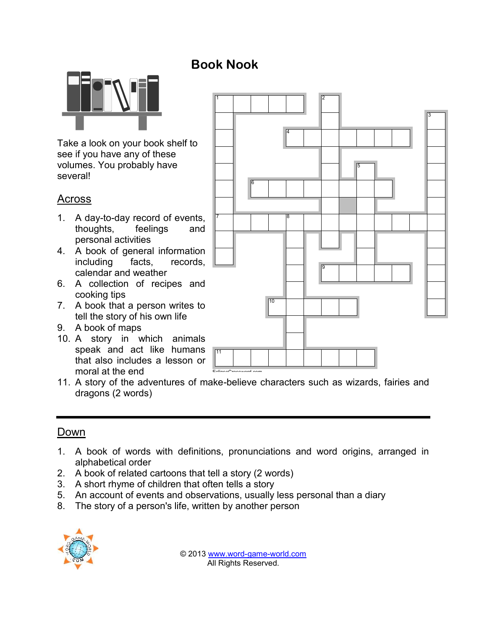

Take a look on your book shelf to see if you have any of these volumes. You probably have several!

## Across

- 1. A day-to-day record of events, thoughts, feelings and personal activities
- 4. A book of general information including facts, records, calendar and weather
- 6. A collection of recipes and cooking tips
- 7. A book that a person writes to tell the story of his own life
- 9. A book of maps
- 10. A story in which animals speak and act like humans that also includes a lesson or moral at the end



11. A story of the adventures of make-believe characters such as wizards, fairies and dragons (2 words)

**Book Nook**

## Down

- 1. A book of words with definitions, pronunciations and word origins, arranged in alphabetical order
- 2. A book of related cartoons that tell a story (2 words)
- 3. A short rhyme of children that often tells a story
- 5. An account of events and observations, usually less personal than a diary
- 8. The story of a person's life, written by another person



© 2013 www.word-game-world.com All Rights Reserved.